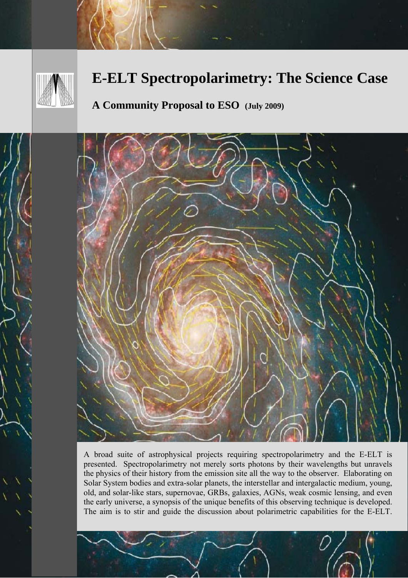

# **E-ELT Spectropolarimetry: The Science Case**

**A Community Proposal to ESO (July 2009)** 



A broad suite of astrophysical projects requiring spectropolarimetry and the E-ELT is presented. Spectropolarimetry not merely sorts photons by their wavelengths but unravels the physics of their history from the emission site all the way to the observer. Elaborating on Solar System bodies and extra-solar planets, the interstellar and intergalactic medium, young, old, and solar-like stars, supernovae, GRBs, galaxies, AGNs, weak cosmic lensing, and even the early universe, a synopsis of the unique benefits of this observing technique is developed. The aim is to stir and guide the discussion about polarimetric capabilities for the E-ELT.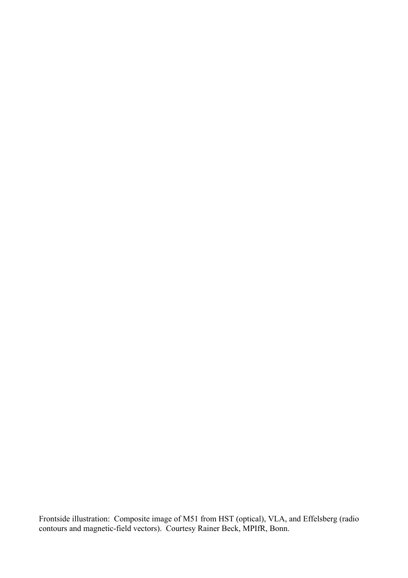Frontside illustration: Composite image of M51 from HST (optical), VLA, and Effelsberg (radio contours and magnetic-field vectors). Courtesy Rainer Beck, MPIfR, Bonn.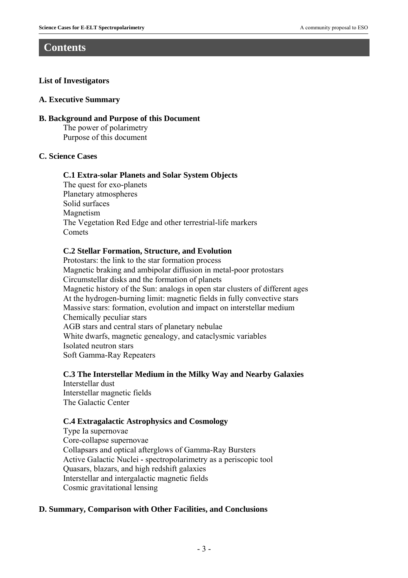# **Contents**

#### **List of Investigators**

#### **A. Executive Summary**

#### **B. Background and Purpose of this Document**

The power of polarimetry Purpose of this document

#### **C. Science Cases**

#### **C.1 Extra-solar Planets and Solar System Objects**

The quest for exo-planets Planetary atmospheres Solid surfaces Magnetism The Vegetation Red Edge and other terrestrial-life markers **Comets** 

#### **C.2 Stellar Formation, Structure, and Evolution**

Protostars: the link to the star formation process Magnetic braking and ambipolar diffusion in metal-poor protostars Circumstellar disks and the formation of planets Magnetic history of the Sun: analogs in open star clusters of different ages At the hydrogen-burning limit: magnetic fields in fully convective stars Massive stars: formation, evolution and impact on interstellar medium Chemically peculiar stars AGB stars and central stars of planetary nebulae White dwarfs, magnetic genealogy, and cataclysmic variables Isolated neutron stars Soft Gamma-Ray Repeaters

# **C.3 The Interstellar Medium in the Milky Way and Nearby Galaxies**  Interstellar dust

Interstellar magnetic fields The Galactic Center

#### **C.4 Extragalactic Astrophysics and Cosmology**

Type Ia supernovae Core-collapse supernovae Collapsars and optical afterglows of Gamma-Ray Bursters Active Galactic Nuclei **-** spectropolarimetry as a periscopic tool Quasars, blazars, and high redshift galaxies Interstellar and intergalactic magnetic fields Cosmic gravitational lensing

#### **D. Summary, Comparison with Other Facilities, and Conclusionss**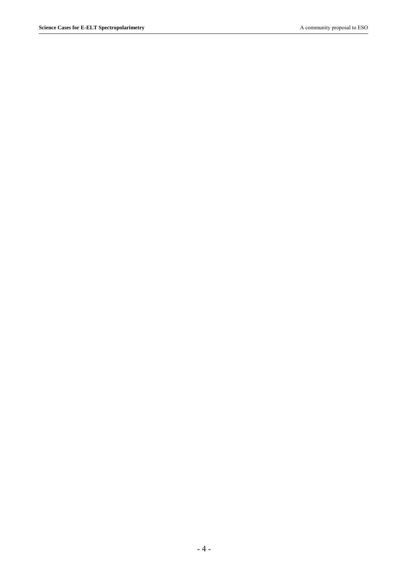#### - 4 -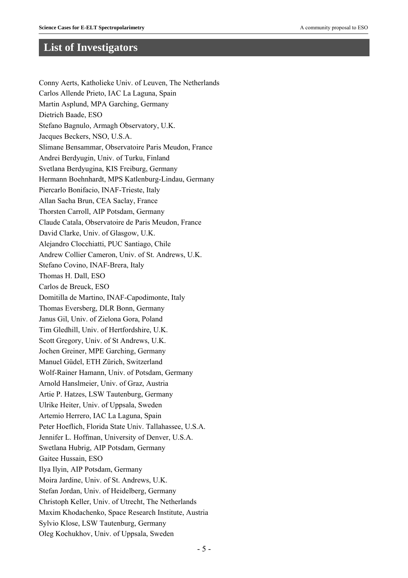# **List of Investigators**

Conny Aerts, Katholieke Univ. of Leuven, The Netherlands Carlos Allende Prieto, IAC La Laguna, Spain Martin Asplund, MPA Garching, Germany Dietrich Baade, ESO Stefano Bagnulo, Armagh Observatory, U.K. Jacques Beckers, NSO, U.S.A. Slimane Bensammar, Observatoire Paris Meudon, France Andrei Berdyugin, Univ. of Turku, Finland Svetlana Berdyugina, KIS Freiburg, Germany Hermann Boehnhardt, MPS Katlenburg-Lindau, Germany Piercarlo Bonifacio, INAF-Trieste, Italy Allan Sacha Brun, CEA Saclay, France Thorsten Carroll, AIP Potsdam, Germany Claude Catala, Observatoire de Paris Meudon, France David Clarke, Univ. of Glasgow, U.K. Alejandro Clocchiatti, PUC Santiago, Chile Andrew Collier Cameron, Univ. of St. Andrews, U.K. Stefano Covino, INAF-Brera, Italy Thomas H. Dall, ESO Carlos de Breuck, ESO Domitilla de Martino, INAF-Capodimonte, Italy Thomas Eversberg, DLR Bonn, Germany Janus Gil, Univ. of Zielona Gora, Poland Tim Gledhill, Univ. of Hertfordshire, U.K. Scott Gregory, Univ. of St Andrews, U.K. Jochen Greiner, MPE Garching, Germany Manuel Güdel, ETH Zürich, Switzerland Wolf-Rainer Hamann, Univ. of Potsdam, Germany Arnold Hanslmeier, Univ. of Graz, Austria Artie P. Hatzes, LSW Tautenburg, Germany Ulrike Heiter, Univ. of Uppsala, Sweden Artemio Herrero, IAC La Laguna, Spain Peter Hoeflich, Florida State Univ. Tallahassee, U.S.A. Jennifer L. Hoffman, University of Denver, U.S.A. Swetlana Hubrig, AIP Potsdam, Germany Gaitee Hussain, ESO Ilya Ilyin, AIP Potsdam, Germany Moira Jardine, Univ. of St. Andrews, U.K. Stefan Jordan, Univ. of Heidelberg, Germany Christoph Keller, Univ. of Utrecht, The Netherlands Maxim Khodachenko, Space Research Institute, Austria Sylvio Klose, LSW Tautenburg, Germany Oleg Kochukhov, Univ. of Uppsala, Sweden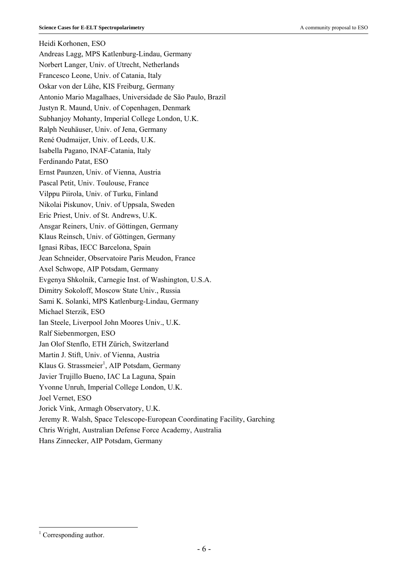Heidi Korhonen, ESO Andreas Lagg, MPS Katlenburg-Lindau, Germany Norbert Langer, Univ. of Utrecht, Netherlands Francesco Leone, Univ. of Catania, Italy Oskar von der Lühe, KIS Freiburg, Germany Antonio Mario Magalhaes, Universidade de São Paulo, Brazil Justyn R. Maund, Univ. of Copenhagen, Denmark Subhanjoy Mohanty, Imperial College London, U.K. Ralph Neuhäuser, Univ. of Jena, Germany René Oudmaijer, Univ. of Leeds, U.K. Isabella Pagano, INAF-Catania, Italy Ferdinando Patat, ESO Ernst Paunzen, Univ. of Vienna, Austria Pascal Petit, Univ. Toulouse, France Vilppu Piirola, Univ. of Turku, Finland Nikolai Piskunov, Univ. of Uppsala, Sweden Eric Priest, Univ. of St. Andrews, U.K. Ansgar Reiners, Univ. of Göttingen, Germany Klaus Reinsch, Univ. of Göttingen, Germany Ignasi Ribas, IECC Barcelona, Spain Jean Schneider, Observatoire Paris Meudon, France Axel Schwope, AIP Potsdam, Germany Evgenya Shkolnik, Carnegie Inst. of Washington, U.S.A. Dimitry Sokoloff, Moscow State Univ., Russia Sami K. Solanki, MPS Katlenburg-Lindau, Germany Michael Sterzik, ESO Ian Steele, Liverpool John Moores Univ., U.K. Ralf Siebenmorgen, ESO Jan Olof Stenflo, ETH Zürich, Switzerland Martin J. Stift, Univ. of Vienna, Austria Klaus G. Strassmeier<sup>1</sup>[,](#page-5-0) AIP Potsdam, Germany Javier Trujillo Bueno, IAC La Laguna, Spain Yvonne Unruh, Imperial College London, U.K. Joel Vernet, ESO Jorick Vink, Armagh Observatory, U.K. Jeremy R. Walsh, Space Telescope-European Coordinating Facility, Garching Chris Wright, Australian Defense Force Academy, Australia Hans Zinnecker, AIP Potsdam, Germany

 $\overline{a}$ 

<span id="page-5-0"></span><sup>&</sup>lt;sup>1</sup> Corresponding author.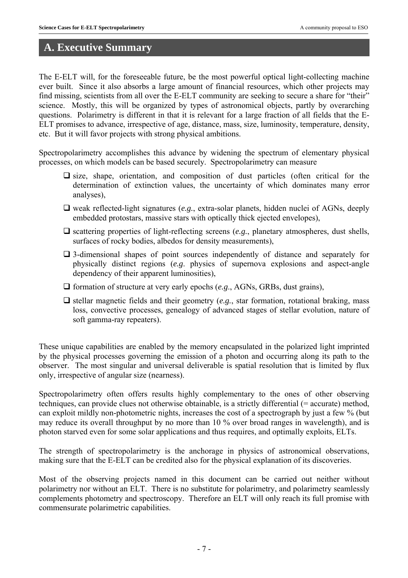# **A. Executive Summary**

The E-ELT will, for the foreseeable future, be the most powerful optical light-collecting machine ever built. Since it also absorbs a large amount of financial resources, which other projects may find missing, scientists from all over the E-ELT community are seeking to secure a share for "their" science. Mostly, this will be organized by types of astronomical objects, partly by overarching questions. Polarimetry is different in that it is relevant for a large fraction of all fields that the E-ELT promises to advance, irrespective of age, distance, mass, size, luminosity, temperature, density, etc. But it will favor projects with strong physical ambitions.

Spectropolarimetry accomplishes this advance by widening the spectrum of elementary physical processes, on which models can be based securely. Spectropolarimetry can measure

- $\Box$  size, shape, orientation, and composition of dust particles (often critical for the determination of extinction values, the uncertainty of which dominates many error analyses),
- weak reflected-light signatures (*e.g.*, extra-solar planets, hidden nuclei of AGNs, deeply embedded protostars, massive stars with optically thick ejected envelopes),
- $\square$  scattering properties of light-reflecting screens (*e.g.*, planetary atmospheres, dust shells, surfaces of rocky bodies, albedos for density measurements),
- 3-dimensional shapes of point sources independently of distance and separately for physically distinct regions (*e.g*. physics of supernova explosions and aspect-angle dependency of their apparent luminosities),
- $\Box$  formation of structure at very early epochs (*e.g.*, AGNs, GRBs, dust grains),
- $\Box$  stellar magnetic fields and their geometry (*e.g.*, star formation, rotational braking, mass loss, convective processes, genealogy of advanced stages of stellar evolution, nature of soft gamma-ray repeaters).

These unique capabilities are enabled by the memory encapsulated in the polarized light imprinted by the physical processes governing the emission of a photon and occurring along its path to the observer. The most singular and universal deliverable is spatial resolution that is limited by flux only, irrespective of angular size (nearness).

Spectropolarimetry often offers results highly complementary to the ones of other observing techniques, can provide clues not otherwise obtainable, is a strictly differential (= accurate) method, can exploit mildly non-photometric nights, increases the cost of a spectrograph by just a few % (but may reduce its overall throughput by no more than 10 % over broad ranges in wavelength), and is photon starved even for some solar applications and thus requires, and optimally exploits, ELTs.

The strength of spectropolarimetry is the anchorage in physics of astronomical observations, making sure that the E-ELT can be credited also for the physical explanation of its discoveries.

Most of the observing projects named in this document can be carried out neither without polarimetry nor without an ELT. There is no substitute for polarimetry, and polarimetry seamlessly complements photometry and spectroscopy. Therefore an ELT will only reach its full promise with commensurate polarimetric capabilities.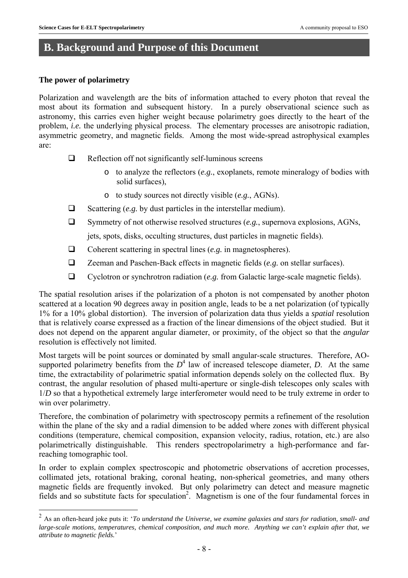# **B. Background and Purpose of this Document**

#### **The power of polarimetry**

 $\overline{a}$ 

Polarization and wavelength are the bits of information attached to every photon that reveal the most about its formation and subsequent history. In a purely observational science such as astronomy, this carries even higher weight because polarimetry goes directly to the heart of the problem, *i.e.* the underlying physical process. The elementary processes are anisotropic radiation, asymmetric geometry, and magnetic fields. Among the most wide-spread astrophysical examples are:

- $\Box$  Reflection off not significantly self-luminous screens
	- o to analyze the reflectors (*e.g.*, exoplanets, remote mineralogy of bodies with solid surfaces),
	- o to study sources not directly visible (*e.g.*, AGNs).
- Scattering  $(e.g.$  by dust particles in the interstellar medium).
- Symmetry of not otherwise resolved structures (*e.g.*, supernova explosions, AGNs, jets, spots, disks, occulting structures, dust particles in magnetic fields).
- Coherent scattering in spectral lines (*e.g.* in magnetospheres).
- Zeeman and Paschen-Back effects in magnetic fields (*e.g.* on stellar surfaces).
- □ Cyclotron or synchrotron radiation (*e.g.* from Galactic large-scale magnetic fields).

The spatial resolution arises if the polarization of a photon is not compensated by another photon scattered at a location 90 degrees away in position angle, leads to be a net polarization (of typically 1% for a 10% global distortion). The inversion of polarization data thus yields a *spatial* resolution that is relatively coarse expressed as a fraction of the linear dimensions of the object studied. But it does not depend on the apparent angular diameter, or proximity, of the object so that the *angular* resolution is effectively not limited.

Most targets will be point sources or dominated by small angular-scale structures. Therefore, AOsupported polarimetry benefits from the  $D<sup>4</sup>$  law of increased telescope diameter, *D*. At the same time, the extractability of polarimetric spatial information depends solely on the collected flux. By contrast, the angular resolution of phased multi-aperture or single-dish telescopes only scales with 1/*D* so that a hypothetical extremely large interferometer would need to be truly extreme in order to win over polarimetry.

Therefore, the combination of polarimetry with spectroscopy permits a refinement of the resolution within the plane of the sky and a radial dimension to be added where zones with different physical conditions (temperature, chemical composition, expansion velocity, radius, rotation, etc.) are also polarimetrically distinguishable. This renders spectropolarimetry a high-performance and farreaching tomographic tool.

In order to explain complex spectroscopic and photometric observations of accretion processes, collimated jets, rotational braking, coronal heating, non-spherical geometries, and many others magnetic fields are frequently invoked. But only polarimetry can detect and measure magnetic fields and so substitute facts for speculation<sup>[2](#page-7-0)</sup>. Magnetism is one of the four fundamental forces in

<span id="page-7-0"></span><sup>2</sup> As an often-heard joke puts it: '*To understand the Universe, we examine galaxies and stars for radiation, small- and large-scale motions, temperatures, chemical composition, and much more. Anything we can't explain after that, we attribute to magnetic fields.*'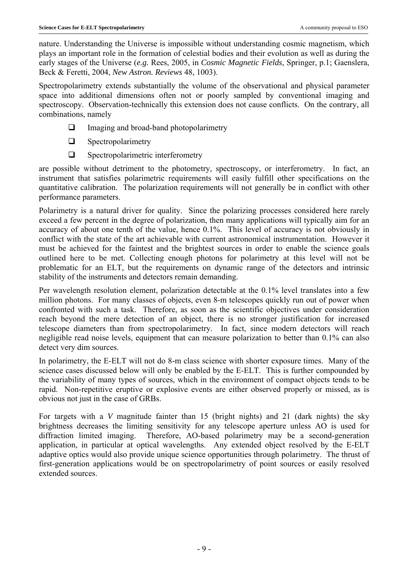nature. Understanding the Universe is impossible without understanding cosmic magnetism, which plays an important role in the formation of celestial bodies and their evolution as well as during the early stages of the Universe (*e.g.* Rees, 2005, in *Cosmic Magnetic Fields*, Springer, p.1; Gaenslera, Beck & Feretti, 2004, *New Astron. Reviews* 48, 1003).

Spectropolarimetry extends substantially the volume of the observational and physical parameter space into additional dimensions often not or poorly sampled by conventional imaging and spectroscopy. Observation-technically this extension does not cause conflicts. On the contrary, all combinations, namely

- $\Box$  Imaging and broad-band photopolarimetry
- $\Box$  Spectropolarimetry
- $\Box$  Spectropolarimetric interferometry

are possible without detriment to the photometry, spectroscopy, or interferometry. In fact, an instrument that satisfies polarimetric requirements will easily fulfill other specifications on the quantitative calibration. The polarization requirements will not generally be in conflict with other performance parameters.

Polarimetry is a natural driver for quality. Since the polarizing processes considered here rarely exceed a few percent in the degree of polarization, then many applications will typically aim for an accuracy of about one tenth of the value, hence 0.1%. This level of accuracy is not obviously in conflict with the state of the art achievable with current astronomical instrumentation. However it must be achieved for the faintest and the brightest sources in order to enable the science goals outlined here to be met. Collecting enough photons for polarimetry at this level will not be problematic for an ELT, but the requirements on dynamic range of the detectors and intrinsic stability of the instruments and detectors remain demanding.

Per wavelength resolution element, polarization detectable at the 0.1% level translates into a few million photons. For many classes of objects, even 8-m telescopes quickly run out of power when confronted with such a task. Therefore, as soon as the scientific objectives under consideration reach beyond the mere detection of an object, there is no stronger justification for increased telescope diameters than from spectropolarimetry. In fact, since modern detectors will reach negligible read noise levels, equipment that can measure polarization to better than 0.1% can also detect very dim sources.

In polarimetry, the E-ELT will not do 8-m class science with shorter exposure times. Many of the science cases discussed below will only be enabled by the E-ELT. This is further compounded by the variability of many types of sources, which in the environment of compact objects tends to be rapid. Non-repetitive eruptive or explosive events are either observed properly or missed, as is obvious not just in the case of GRBs.

For targets with a *V* magnitude fainter than 15 (bright nights) and 21 (dark nights) the sky brightness decreases the limiting sensitivity for any telescope aperture unless AO is used for diffraction limited imaging. Therefore, AO-based polarimetry may be a second-generation application, in particular at optical wavelengths. Any extended object resolved by the E-ELT adaptive optics would also provide unique science opportunities through polarimetry. The thrust of first-generation applications would be on spectropolarimetry of point sources or easily resolved extended sources.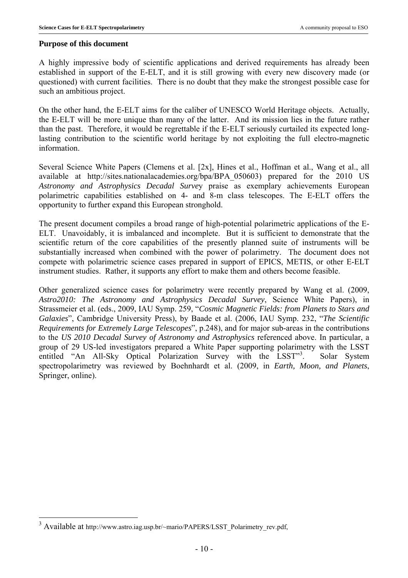#### **Purpose of this document**

A highly impressive body of scientific applications and derived requirements has already been established in support of the E-ELT, and it is still growing with every new discovery made (or questioned) with current facilities. There is no doubt that they make the strongest possible case for such an ambitious project.

On the other hand, the E-ELT aims for the caliber of UNESCO World Heritage objects. Actually, the E-ELT will be more unique than many of the latter. And its mission lies in the future rather than the past. Therefore, it would be regrettable if the E-ELT seriously curtailed its expected longlasting contribution to the scientific world heritage by not exploiting the full electro-magnetic information.

Several Science White Papers (Clemens et al. [2x], Hines et al., Hoffman et al., Wang et al., all available at http://sites.nationalacademies.org/bpa/BPA\_050603) prepared for the 2010 US *Astronomy and Astrophysics Decadal Surve*y praise as exemplary achievements European polarimetric capabilities established on 4- and 8-m class telescopes. The E-ELT offers the opportunity to further expand this European stronghold.

The present document compiles a broad range of high-potential polarimetric applications of the E-ELT. Unavoidably, it is imbalanced and incomplete. But it is sufficient to demonstrate that the scientific return of the core capabilities of the presently planned suite of instruments will be substantially increased when combined with the power of polarimetry. The document does not compete with polarimetric science cases prepared in support of EPICS, METIS, or other E-ELT instrument studies. Rather, it supports any effort to make them and others become feasible.

Other generalized science cases for polarimetry were recently prepared by Wang et al. (2009, *Astro2010: The Astronomy and Astrophysics Decadal Survey*, Science White Papers), in Strassmeier et al. (eds., 2009, IAU Symp. 259, "*Cosmic Magnetic Fields: from Planets to Stars and Galaxies*", Cambridge University Press), by Baade et al. (2006, IAU Symp. 232, "*The Scientific Requirements for Extremely Large Telescopes*", p.248), and for major sub-areas in the contributions to the *US 2010 Decadal Survey of Astronomy and Astrophysics* referenced above. In particular, a group of 29 US-led investigators prepared a White Paper supporting polarimetry with the LSST entitled "An All-Sky Optical Polarization Survey with the LSST"<sup>3</sup>. [.](#page-9-0) Solar System spectropolarimetry was reviewed by Boehnhardt et al. (2009, in *Earth, Moon, and Planets*, Springer, online).

<span id="page-9-0"></span> 3 Available at http://www.astro.iag.usp.br/~mario/PAPERS/LSST\_Polarimetry\_rev.pdf,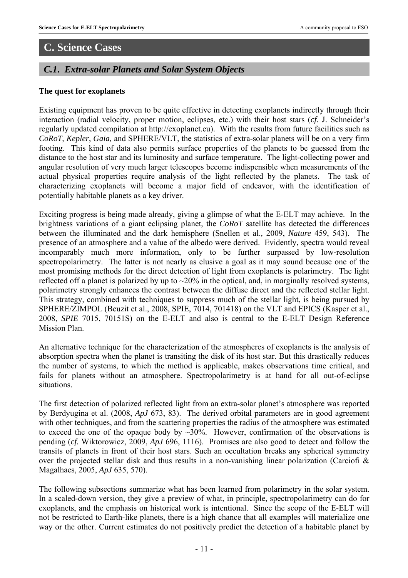# **C. Science Cases**

# *C.1***.** *Extra-solar Planets and Solar System Objects*

#### **The quest for exoplanets**

Existing equipment has proven to be quite effective in detecting exoplanets indirectly through their interaction (radial velocity, proper motion, eclipses, etc.) with their host stars (*cf*. J. Schneider's regularly updated compilation at http://exoplanet.eu). With the results from future facilities such as *CoRoT, Kepler*, *Gaia,* and SPHERE/VLT, the statistics of extra-solar planets will be on a very firm footing. This kind of data also permits surface properties of the planets to be guessed from the distance to the host star and its luminosity and surface temperature. The light-collecting power and angular resolution of very much larger telescopes become indispensible when measurements of the actual physical properties require analysis of the light reflected by the planets. The task of characterizing exoplanets will become a major field of endeavor, with the identification of potentially habitable planets as a key driver.

Exciting progress is being made already, giving a glimpse of what the E-ELT may achieve. In the brightness variations of a giant eclipsing planet, the *CoRoT* satellite has detected the differences between the illuminated and the dark hemisphere (Snellen et al.*,* 2009, *Nature* 459, 543). The presence of an atmosphere and a value of the albedo were derived. Evidently, spectra would reveal incomparably much more information, only to be further surpassed by low-resolution spectropolarimetry. The latter is not nearly as elusive a goal as it may sound because one of the most promising methods for the direct detection of light from exoplanets is polarimetry. The light reflected off a planet is polarized by up to  $\sim$ 20% in the optical, and, in marginally resolved systems, polarimetry strongly enhances the contrast between the diffuse direct and the reflected stellar light. This strategy, combined with techniques to suppress much of the stellar light, is being pursued by SPHERE/ZIMPOL (Beuzit et al., 2008, SPIE, 7014, 701418) on the VLT and EPICS (Kasper et al., 2008, *SPIE* 7015, 70151S) on the E-ELT and also is central to the E-ELT Design Reference Mission Plan.

An alternative technique for the characterization of the atmospheres of exoplanets is the analysis of absorption spectra when the planet is transiting the disk of its host star. But this drastically reduces the number of systems, to which the method is applicable, makes observations time critical, and fails for planets without an atmosphere. Spectropolarimetry is at hand for all out-of-eclipse situations.

The first detection of polarized reflected light from an extra-solar planet's atmosphere was reported by Berdyugina et al. (2008, *ApJ* 673, 83). The derived orbital parameters are in good agreement with other techniques, and from the scattering properties the radius of the atmosphere was estimated to exceed the one of the opaque body by  $\sim$ 30%. However, confirmation of the observations is pending (*cf.* Wiktorowicz, 2009, *ApJ* 696, 1116). Promises are also good to detect and follow the transits of planets in front of their host stars. Such an occultation breaks any spherical symmetry over the projected stellar disk and thus results in a non-vanishing linear polarization (Carciofi & Magalhaes, 2005, *ApJ* 635, 570).

The following subsections summarize what has been learned from polarimetry in the solar system. In a scaled-down version, they give a preview of what, in principle, spectropolarimetry can do for exoplanets, and the emphasis on historical work is intentional. Since the scope of the E-ELT will not be restricted to Earth-like planets, there is a high chance that all examples will materialize one way or the other. Current estimates do not positively predict the detection of a habitable planet by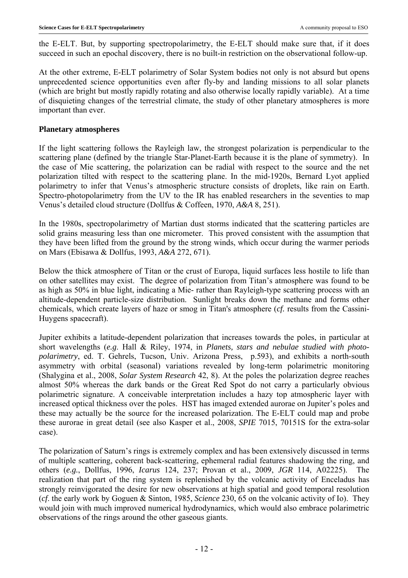the E-ELT. But, by supporting spectropolarimetry, the E-ELT should make sure that, if it does succeed in such an epochal discovery, there is no built-in restriction on the observational follow-up.

At the other extreme, E-ELT polarimetry of Solar System bodies not only is not absurd but opens unprecedented science opportunities even after fly-by and landing missions to all solar planets (which are bright but mostly rapidly rotating and also otherwise locally rapidly variable). At a time of disquieting changes of the terrestrial climate, the study of other planetary atmospheres is more important than ever.

### **Planetary atmospheres**

If the light scattering follows the Rayleigh law, the strongest polarization is perpendicular to the scattering plane (defined by the triangle Star-Planet-Earth because it is the plane of symmetry). In the case of Mie scattering, the polarization can be radial with respect to the source and the net polarization tilted with respect to the scattering plane. In the mid-1920s, Bernard Lyot applied polarimetry to infer that Venus's atmospheric structure consists of droplets, like rain on Earth. Spectro-photopolarimetry from the UV to the IR has enabled researchers in the seventies to map Venus's detailed cloud structure (Dollfus & Coffeen, 1970, *A&A* 8, 251).

In the 1980s, spectropolarimetry of Martian dust storms indicated that the scattering particles are solid grains measuring less than one micrometer. This proved consistent with the assumption that they have been lifted from the ground by the strong winds, which occur during the warmer periods on Mars (Ebisawa & Dollfus, 1993, *A&A* 272, 671).

Below the thick atmosphere of Titan or the crust of Europa, liquid surfaces less hostile to life than on other satellites may exist. The degree of polarization from Titan's atmosphere was found to be as high as 50% in blue light, indicating a Mie- rather than Rayleigh-type scattering process with an altitude-dependent particle-size distribution. Sunlight breaks down the methane and forms other chemicals, which create layers of haze or smog in Titan's atmosphere (*cf.* results from the Cassini-Huygens spacecraft).

Jupiter exhibits a latitude-dependent polarization that increases towards the poles, in particular at short wavelengths (*e.g*. Hall & Riley, 1974, in *Planets, stars and nebulae studied with photopolarimetry*, ed. T. Gehrels, Tucson, Univ. Arizona Press, p.593), and exhibits a north-south asymmetry with orbital (seasonal) variations revealed by long-term polarimetric monitoring (Shalygina et al., 2008, *Solar System Research* 42, 8). At the poles the polarization degree reaches almost 50% whereas the dark bands or the Great Red Spot do not carry a particularly obvious polarimetric signature. A conceivable interpretation includes a hazy top atmospheric layer with increased optical thickness over the poles. HST has imaged extended aurorae on Jupiter's poles and these may actually be the source for the increased polarization. The E-ELT could map and probe these aurorae in great detail (see also Kasper et al., 2008, *SPIE* 7015, 70151S for the extra-solar case).

The polarization of Saturn's rings is extremely complex and has been extensively discussed in terms of multiple scattering, coherent back-scattering, ephemeral radial features shadowing the ring, and others (*e.g.*, Dollfus, 1996, *Icarus* 124, 237; Provan et al., 2009, *JGR* 114, A02225). The realization that part of the ring system is replenished by the volcanic activity of Enceladus has strongly reinvigorated the desire for new observations at high spatial and good temporal resolution (*cf*. the early work by Goguen & Sinton, 1985, *Science* 230, 65 on the volcanic activity of Io). They would join with much improved numerical hydrodynamics, which would also embrace polarimetric observations of the rings around the other gaseous giants.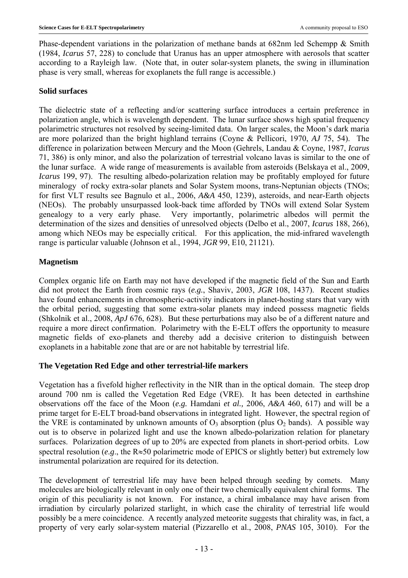Phase-dependent variations in the polarization of methane bands at 682nm led Schempp & Smith (1984, *Icarus* 57, 228) to conclude that Uranus has an upper atmosphere with aerosols that scatter according to a Rayleigh law. (Note that, in outer solar-system planets, the swing in illumination phase is very small, whereas for exoplanets the full range is accessible.)

### **Solid surfaces**

The dielectric state of a reflecting and/or scattering surface introduces a certain preference in polarization angle, which is wavelength dependent. The lunar surface shows high spatial frequency polarimetric structures not resolved by seeing-limited data. On larger scales, the Moon's dark maria are more polarized than the bright highland terrains (Coyne & Pellicori, 1970, *AJ* 75, 54). The difference in polarization between Mercury and the Moon (Gehrels, Landau & Coyne, 1987, *Icarus* 71, 386) is only minor, and also the polarization of terrestrial volcano lavas is similar to the one of the lunar surface. A wide range of measurements is available from asteroids (Belskaya et al., 2009, *Icarus* 199, 97). The resulting albedo-polarization relation may be profitably employed for future mineralogy of rocky extra-solar planets and Solar System moons, trans-Neptunian objects (TNOs; for first VLT results see Bagnulo et al., 2006, *A&A* 450, 1239), asteroids, and near-Earth objects (NEOs). The probably unsurpassed look-back time afforded by TNOs will extend Solar System genealogy to a very early phase. Very importantly, polarimetric albedos will permit the determination of the sizes and densities of unresolved objects (Delbo et al., 2007, *Icarus* 188, 266), among which NEOs may be especially critical. For this application, the mid-infrared wavelength range is particular valuable (Johnson et al., 1994, *JGR* 99, E10, 21121).

# **Magnetism**

Complex organic life on Earth may not have developed if the magnetic field of the Sun and Earth did not protect the Earth from cosmic rays (*e.g.*, Shaviv, 2003, *JGR* 108, 1437). Recent studies have found enhancements in chromospheric-activity indicators in planet-hosting stars that vary with the orbital period, suggesting that some extra-solar planets may indeed possess magnetic fields (Shkolnik et al., 2008, *ApJ* 676, 628). But these perturbations may also be of a different nature and require a more direct confirmation. Polarimetry with the E-ELT offers the opportunity to measure magnetic fields of exo-planets and thereby add a decisive criterion to distinguish between exoplanets in a habitable zone that are or are not habitable by terrestrial life.

# **The Vegetation Red Edge and other terrestrial-life markers**

Vegetation has a fivefold higher reflectivity in the NIR than in the optical domain. The steep drop around 700 nm is called the Vegetation Red Edge (VRE). It has been detected in earthshine observations off the face of the Moon (*e.g.* Hamdani *et al.,* 2006, *A&A* 460, 617) and will be a prime target for E-ELT broad-band observations in integrated light. However, the spectral region of the VRE is contaminated by unknown amounts of  $O_3$  absorption (plus  $O_2$  bands). A possible way out is to observe in polarized light and use the known albedo-polarization relation for planetary surfaces. Polarization degrees of up to 20% are expected from planets in short-period orbits. Low spectral resolution (*e.g.*, the R≈50 polarimetric mode of EPICS or slightly better) but extremely low instrumental polarization are required for its detection.

The development of terrestrial life may have been helped through seeding by comets. Many molecules are biologically relevant in only one of their two chemically equivalent chiral forms. The origin of this peculiarity is not known. For instance, a chiral imbalance may have arisen from irradiation by circularly polarized starlight, in which case the chirality of terrestrial life would possibly be a mere coincidence. A recently analyzed meteorite suggests that chirality was, in fact, a property of very early solar-system material (Pizzarello et al., 2008, *PNAS* 105, 3010). For the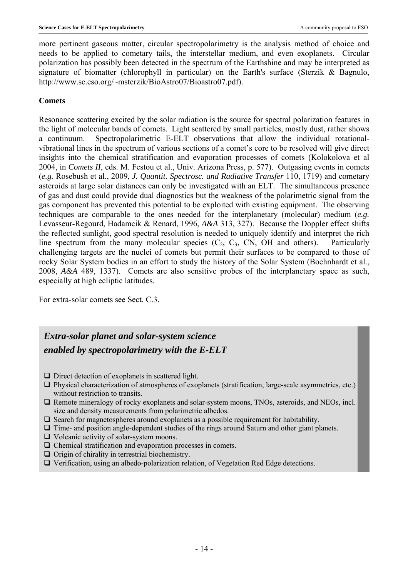more pertinent gaseous matter, circular spectropolarimetry is the analysis method of choice and needs to be applied to cometary tails, the interstellar medium, and even exoplanets. Circular polarization has possibly been detected in the spectrum of the Earthshine and may be interpreted as signature of biomatter (chlorophyll in particular) on the Earth's surface (Sterzik & Bagnulo, http://www.sc.eso.org/~msterzik/BioAstro07/Bioastro07.pdf).

# **Comets**

Resonance scattering excited by the solar radiation is the source for spectral polarization features in the light of molecular bands of comets. Light scattered by small particles, mostly dust, rather shows a continuum. Spectropolarimetric E-ELT observations that allow the individual rotationalvibrational lines in the spectrum of various sections of a comet's core to be resolved will give direct insights into the chemical stratification and evaporation processes of comets (Kolokolova et al 2004, in *Comets II*, eds. M. Festou et al., Univ. Arizona Press, p. 577). Outgasing events in comets (*e.g.* Rosebush et al., 2009, *J. Quantit. Spectrosc. and Radiative Transfer* 110, 1719) and cometary asteroids at large solar distances can only be investigated with an ELT. The simultaneous presence of gas and dust could provide dual diagnostics but the weakness of the polarimetric signal from the gas component has prevented this potential to be exploited with existing equipment. The observing techniques are comparable to the ones needed for the interplanetary (molecular) medium (*e.g.* Levasseur-Regourd, Hadamcik & Renard, 1996, *A&A* 313, 327). Because the Doppler effect shifts the reflected sunlight, good spectral resolution is needed to uniquely identify and interpret the rich line spectrum from the many molecular species  $(C_2, C_3, CN, OH)$  and others). Particularly challenging targets are the nuclei of comets but permit their surfaces to be compared to those of rocky Solar System bodies in an effort to study the history of the Solar System (Boehnhardt et al., 2008, *A&A* 489, 1337). Comets are also sensitive probes of the interplanetary space as such, especially at high ecliptic latitudes.

For extra-solar comets see Sect. C.3.

# *Extra-solar planet and solar-system science enabled by spectropolarimetry with the E-ELT*

- $\Box$  Direct detection of exoplanets in scattered light.
- Physical characterization of atmospheres of exoplanets (stratification, large-scale asymmetries, etc.) without restriction to transits.
- $\Box$  Remote mineralogy of rocky exoplanets and solar-system moons, TNOs, asteroids, and NEOs, incl. size and density measurements from polarimetric albedos.
- $\Box$  Search for magnetospheres around exoplanets as a possible requirement for habitability.
- Time- and position angle-dependent studies of the rings around Saturn and other giant planets.
- □ Volcanic activity of solar-system moons.
- $\Box$  Chemical stratification and evaporation processes in comets.
- $\Box$  Origin of chirality in terrestrial biochemistry.
- Verification, using an albedo-polarization relation, of Vegetation Red Edge detections.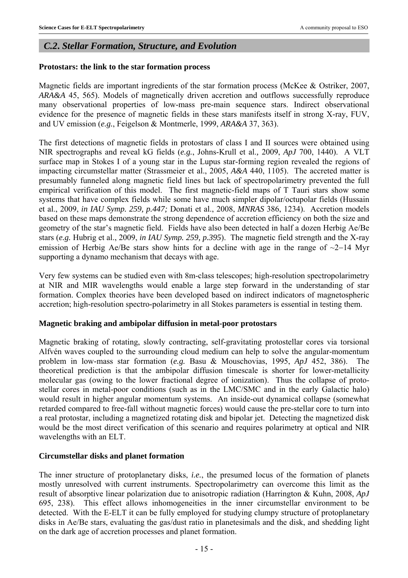### *C.2***.** *Stellar Formation, Structure, and Evolution*

#### **Protostars: the link to the star formation process**

Magnetic fields are important ingredients of the star formation process (McKee & Ostriker, 2007, *ARA&A* 45, 565). Models of magnetically driven accretion and outflows successfully reproduce many observational properties of low-mass pre-main sequence stars. Indirect observational evidence for the presence of magnetic fields in these stars manifests itself in strong X-ray, FUV, and UV emission (*e.g.*, Feigelson & Montmerle, 1999, *ARA&A* 37, 363).

The first detections of magnetic fields in protostars of class I and II sources were obtained using NIR spectrographs and reveal kG fields (*e.g.*, Johns-Krull et al.*,* 2009, *ApJ* 700, 1440). A VLT surface map in Stokes I of a young star in the Lupus star-forming region revealed the regions of impacting circumstellar matter (Strassmeier et al., 2005, *A&A* 440, 1105). The accreted matter is presumably funneled along magnetic field lines but lack of spectropolarimetry prevented the full empirical verification of this model. The first magnetic-field maps of T Tauri stars show some systems that have complex fields while some have much simpler dipolar/octupolar fields (Hussain et al., 2009, *in IAU Symp. 259, p.447;* Donati et al., 2008, *MNRAS* 386, 1234). Accretion models based on these maps demonstrate the strong dependence of accretion efficiency on both the size and geometry of the star's magnetic field. Fields have also been detected in half a dozen Herbig Ae/Be stars (*e.g.* Hubrig et al., 2009, *in IAU Symp. 259, p.395*). The magnetic field strength and the X-ray emission of Herbig Ae/Be stars show hints for a decline with age in the range of ~2−14 Myr supporting a dynamo mechanism that decays with age.

Very few systems can be studied even with 8m-class telescopes; high-resolution spectropolarimetry at NIR and MIR wavelengths would enable a large step forward in the understanding of star formation. Complex theories have been developed based on indirect indicators of magnetospheric accretion; high-resolution spectro-polarimetry in all Stokes parameters is essential in testing them.

#### **Magnetic braking and ambipolar diffusion in metal-poor protostars**

Magnetic braking of rotating, slowly contracting, self-gravitating protostellar cores via torsional Alfvén waves coupled to the surrounding cloud medium can help to solve the angular-momentum problem in low-mass star formation (*e.g.* Basu & Mouschovias, 1995, *ApJ* 452, 386). The theoretical prediction is that the ambipolar diffusion timescale is shorter for lower-metallicity molecular gas (owing to the lower fractional degree of ionization). Thus the collapse of protostellar cores in metal-poor conditions (such as in the LMC/SMC and in the early Galactic halo) would result in higher angular momentum systems. An inside-out dynamical collapse (somewhat retarded compared to free-fall without magnetic forces) would cause the pre-stellar core to turn into a real protostar, including a magnetized rotating disk and bipolar jet. Detecting the magnetized disk would be the most direct verification of this scenario and requires polarimetry at optical and NIR wavelengths with an ELT.

#### **Circumstellar disks and planet formation**

The inner structure of protoplanetary disks, *i.e.*, the presumed locus of the formation of planets mostly unresolved with current instruments. Spectropolarimetry can overcome this limit as the result of absorptive linear polarization due to anisotropic radiation (Harrington & Kuhn, 2008, *ApJ* 695, 238). This effect allows inhomogeneities in the inner circumstellar environment to be detected. With the E-ELT it can be fully employed for studying clumpy structure of protoplanetary disks in Ae/Be stars, evaluating the gas/dust ratio in planetesimals and the disk, and shedding light on the dark age of accretion processes and planet formation.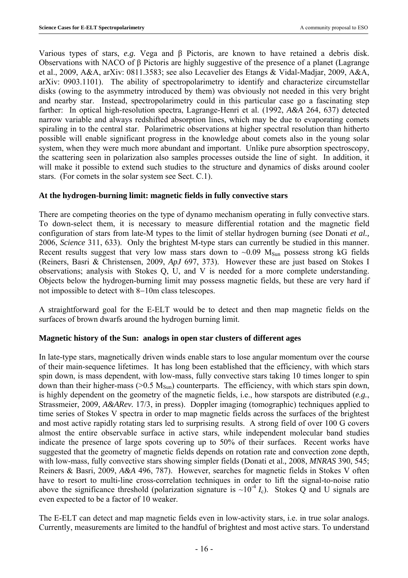Various types of stars, *e.g.* Vega and β Pictoris, are known to have retained a debris disk. Observations with NACO of β Pictoris are highly suggestive of the presence of a planet (Lagrange et al., 2009, A&A, arXiv: 0811.3583; see also Lecavelier des Etangs & Vidal-Madjar, 2009, A&A, arXiv: 0903.1101). The ability of spectropolarimetry to identify and characterize circumstellar disks (owing to the asymmetry introduced by them) was obviously not needed in this very bright and nearby star. Instead, spectropolarimetry could in this particular case go a fascinating step farther: In optical high-resolution spectra, Lagrange-Henri et al. (1992, *A&A* 264, 637) detected narrow variable and always redshifted absorption lines, which may be due to evaporating comets spiraling in to the central star. Polarimetric observations at higher spectral resolution than hitherto possible will enable significant progress in the knowledge about comets also in the young solar system, when they were much more abundant and important. Unlike pure absorption spectroscopy, the scattering seen in polarization also samples processes outside the line of sight. In addition, it will make it possible to extend such studies to the structure and dynamics of disks around cooler stars. (For comets in the solar system see Sect. C.1).

# **At the hydrogen-burning limit: magnetic fields in fully convective stars**

There are competing theories on the type of dynamo mechanism operating in fully convective stars. To down-select them, it is necessary to measure differential rotation and the magnetic field configuration of stars from late-M types to the limit of stellar hydrogen burning (see Donati *et al.,* 2006, *Science* 311, 633). Only the brightest M-type stars can currently be studied in this manner. Recent results suggest that very low mass stars down to  $\sim 0.09$  M<sub>Sun</sub> possess strong kG fields (Reiners, Basri & Christensen, 2009, *ApJ* 697, 373). However these are just based on Stokes I observations; analysis with Stokes Q, U, and V is needed for a more complete understanding. Objects below the hydrogen-burning limit may possess magnetic fields, but these are very hard if not impossible to detect with 8−10m class telescopes.

A straightforward goal for the E-ELT would be to detect and then map magnetic fields on the surfaces of brown dwarfs around the hydrogen burning limit.

# **Magnetic history of the Sun: analogs in open star clusters of different ages**

In late-type stars, magnetically driven winds enable stars to lose angular momentum over the course of their main-sequence lifetimes. It has long been established that the efficiency, with which stars spin down, is mass dependent, with low-mass, fully convective stars taking 10 times longer to spin down than their higher-mass ( $>0.5$  M<sub>Sun</sub>) counterparts. The efficiency, with which stars spin down, is highly dependent on the geometry of the magnetic fields, i.e., how starspots are distributed (*e.g.*, Strassmeier, 2009, *A&ARev.* 17/3, in press). Doppler imaging (tomographic) techniques applied to time series of Stokes V spectra in order to map magnetic fields across the surfaces of the brightest and most active rapidly rotating stars led to surprising results. A strong field of over 100 G covers almost the entire observable surface in active stars, while independent molecular band studies indicate the presence of large spots covering up to 50% of their surfaces. Recent works have suggested that the geometry of magnetic fields depends on rotation rate and convection zone depth, with low-mass, fully convective stars showing simpler fields (Donati et al.*,* 2008, *MNRAS* 390, 545; Reiners & Basri, 2009, *A&A* 496, 787). However, searches for magnetic fields in Stokes V often have to resort to multi-line cross-correlation techniques in order to lift the signal-to-noise ratio above the significance threshold (polarization signature is  $\sim 10^{-4} I_c$ ). Stokes Q and U signals are even expected to be a factor of 10 weaker.

The E-ELT can detect and map magnetic fields even in low-activity stars, i.e. in true solar analogs. Currently, measurements are limited to the handful of brightest and most active stars. To understand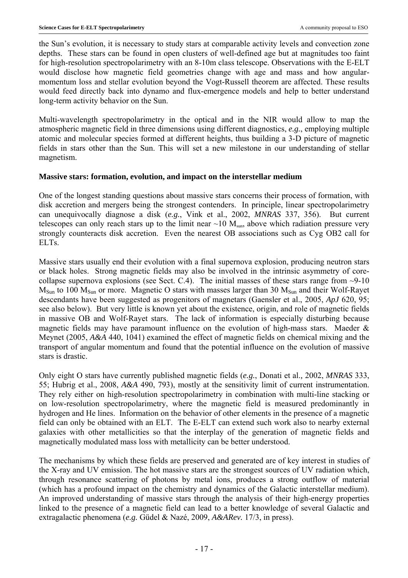the Sun's evolution, it is necessary to study stars at comparable activity levels and convection zone depths. These stars can be found in open clusters of well-defined age but at magnitudes too faint for high-resolution spectropolarimetry with an 8-10m class telescope. Observations with the E-ELT would disclose how magnetic field geometries change with age and mass and how angularmomentum loss and stellar evolution beyond the Vogt-Russell theorem are affected. These results would feed directly back into dynamo and flux-emergence models and help to better understand long-term activity behavior on the Sun.

Multi-wavelength spectropolarimetry in the optical and in the NIR would allow to map the atmospheric magnetic field in three dimensions using different diagnostics, *e.g.*, employing multiple atomic and molecular species formed at different heights, thus building a 3-D picture of magnetic fields in stars other than the Sun. This will set a new milestone in our understanding of stellar magnetism.

### **Massive stars: formation, evolution, and impact on the interstellar medium**

One of the longest standing questions about massive stars concerns their process of formation, with disk accretion and mergers being the strongest contenders. In principle, linear spectropolarimetry can unequivocally diagnose a disk (*e.g.*, Vink et al., 2002, *MNRAS* 337, 356). But current telescopes can only reach stars up to the limit near  $\sim$ 10 M<sub>sun</sub>, above which radiation pressure very strongly counteracts disk accretion. Even the nearest OB associations such as Cyg OB2 call for ELTs.

Massive stars usually end their evolution with a final supernova explosion, producing neutron stars or black holes. Strong magnetic fields may also be involved in the intrinsic asymmetry of corecollapse supernova explosions (see Sect. C.4). The initial masses of these stars range from ~9-10  $M_{\text{Sun}}$  to 100  $M_{\text{Sun}}$  or more. Magnetic O stars with masses larger than 30  $M_{\text{Sun}}$  and their Wolf-Rayet descendants have been suggested as progenitors of magnetars (Gaensler et al., 2005, *ApJ* 620, 95; see also below). But very little is known yet about the existence, origin, and role of magnetic fields in massive OB and Wolf-Rayet stars. The lack of information is especially disturbing because magnetic fields may have paramount influence on the evolution of high-mass stars. Maeder & Meynet (2005, *A&A* 440, 1041) examined the effect of magnetic fields on chemical mixing and the transport of angular momentum and found that the potential influence on the evolution of massive stars is drastic.

Only eight O stars have currently published magnetic fields (*e.g.*, Donati et al.*,* 2002, *MNRAS* 333, 55; Hubrig et al., 2008, *A&A* 490, 793), mostly at the sensitivity limit of current instrumentation. They rely either on high-resolution spectropolarimetry in combination with multi-line stacking or on low-resolution spectropolarimetry, where the magnetic field is measured predominantly in hydrogen and He lines. Information on the behavior of other elements in the presence of a magnetic field can only be obtained with an ELT. The E-ELT can extend such work also to nearby external galaxies with other metallicities so that the interplay of the generation of magnetic fields and magnetically modulated mass loss with metallicity can be better understood.

The mechanisms by which these fields are preserved and generated are of key interest in studies of the X-ray and UV emission. The hot massive stars are the strongest sources of UV radiation which, through resonance scattering of photons by metal ions, produces a strong outflow of material (which has a profound impact on the chemistry and dynamics of the Galactic interstellar medium). An improved understanding of massive stars through the analysis of their high-energy properties linked to the presence of a magnetic field can lead to a better knowledge of several Galactic and extragalactic phenomena (*e.g.* Güdel & Nazé, 2009, *A&ARev.* 17/3, in press).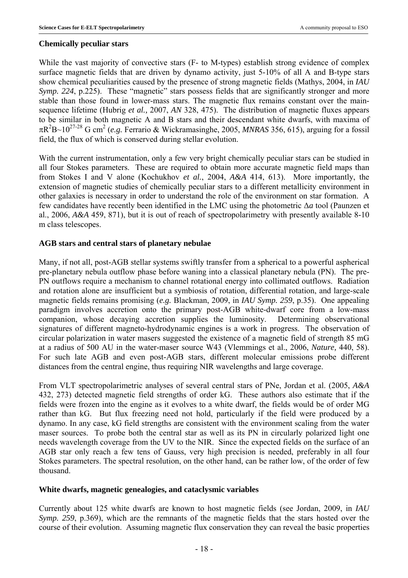#### **Chemically peculiar stars**

While the vast majority of convective stars (F- to M-types) establish strong evidence of complex surface magnetic fields that are driven by dynamo activity, just 5-10% of all A and B-type stars show chemical peculiarities caused by the presence of strong magnetic fields (Mathys, 2004, in *IAU Symp.* 224, p.225). These "magnetic" stars possess fields that are significantly stronger and more stable than those found in lower-mass stars. The magnetic flux remains constant over the mainsequence lifetime (Hubrig *et al.,* 2007, *AN* 328, 475). The distribution of magnetic fluxes appears to be similar in both magnetic A and B stars and their descendant white dwarfs, with maxima of  $\pi R^2 B \sim 10^{27-28}$  G cm<sup>2</sup> (*e.g.* Ferrario & Wickramasinghe, 2005, *MNRAS* 356, 615), arguing for a fossil field, the flux of which is conserved during stellar evolution.

With the current instrumentation, only a few very bright chemically peculiar stars can be studied in all four Stokes parameters. These are required to obtain more accurate magnetic field maps than from Stokes I and V alone (Kochukhov *et al.*, 2004, *A&A* 414, 613). More importantly, the extension of magnetic studies of chemically peculiar stars to a different metallicity environment in other galaxies is necessary in order to understand the role of the environment on star formation. A few candidates have recently been identified in the LMC using the photometric ∆*a* tool (Paunzen et al., 2006, *A&A* 459, 871), but it is out of reach of spectropolarimetry with presently available 8-10 m class telescopes.

#### **AGB stars and central stars of planetary nebulae**

Many, if not all, post-AGB stellar systems swiftly transfer from a spherical to a powerful aspherical pre-planetary nebula outflow phase before waning into a classical planetary nebula (PN). The pre-PN outflows require a mechanism to channel rotational energy into collimated outflows. Radiation and rotation alone are insufficient but a symbiosis of rotation, differential rotation, and large-scale magnetic fields remains promising (*e.g.* Blackman, 2009, in *IAU Symp. 259*, p.35). One appealing paradigm involves accretion onto the primary post-AGB white-dwarf core from a low-mass companion, whose decaying accretion supplies the luminosity. Determining observational signatures of different magneto-hydrodynamic engines is a work in progress. The observation of circular polarization in water masers suggested the existence of a magnetic field of strength 85 mG at a radius of 500 AU in the water-maser source W43 (Vlemmings et al., 2006, *Nature,* 440, 58). For such late AGB and even post-AGB stars, different molecular emissions probe different distances from the central engine, thus requiring NIR wavelengths and large coverage.

From VLT spectropolarimetric analyses of several central stars of PNe, Jordan et al. (2005, *A&A*  432, 273) detected magnetic field strengths of order kG. These authors also estimate that if the fields were frozen into the engine as it evolves to a white dwarf, the fields would be of order MG rather than kG. But flux freezing need not hold, particularly if the field were produced by a dynamo. In any case, kG field strengths are consistent with the environment scaling from the water maser sources. To probe both the central star as well as its PN in circularly polarized light one needs wavelength coverage from the UV to the NIR. Since the expected fields on the surface of an AGB star only reach a few tens of Gauss, very high precision is needed, preferably in all four Stokes parameters. The spectral resolution, on the other hand, can be rather low, of the order of few thousand.

#### **White dwarfs, magnetic genealogies, and cataclysmic variables**

Currently about 125 white dwarfs are known to host magnetic fields (see Jordan, 2009, in *IAU Symp. 259*, p.369), which are the remnants of the magnetic fields that the stars hosted over the course of their evolution. Assuming magnetic flux conservation they can reveal the basic properties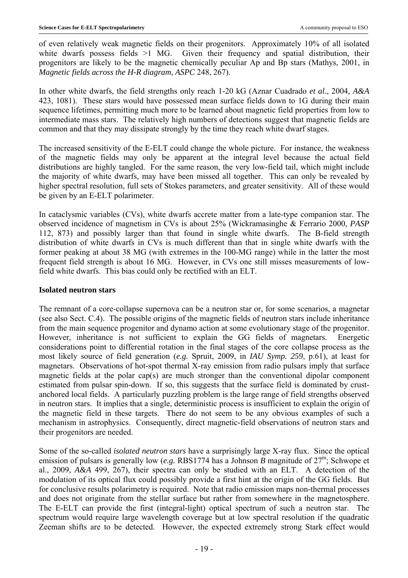of even relatively weak magnetic fields on their progenitors. Approximately 10% of all isolated white dwarfs possess fields >1 MG. Given their frequency and spatial distribution, their progenitors are likely to be the magnetic chemically peculiar Ap and Bp stars (Mathys, 2001, in *Magnetic fields across the H-R diagram*, *ASPC* 248, 267).

In other white dwarfs, the field strengths only reach 1-20 kG (Aznar Cuadrado *et al.*, 2004, *A&A* 423, 1081). These stars would have possessed mean surface fields down to 1G during their main sequence lifetimes, permitting much more to be learned about magnetic field properties from low to intermediate mass stars. The relatively high numbers of detections suggest that magnetic fields are common and that they may dissipate strongly by the time they reach white dwarf stages.

The increased sensitivity of the E-ELT could change the whole picture. For instance, the weakness of the magnetic fields may only be apparent at the integral level because the actual field distributions are highly tangled. For the same reason, the very low-field tail, which might include the majority of white dwarfs, may have been missed all together. This can only be revealed by higher spectral resolution, full sets of Stokes parameters, and greater sensitivity. All of these would be given by an E-ELT polarimeter.

In cataclysmic variables (CVs), white dwarfs accrete matter from a late-type companion star. The observed incidence of magnetism in CVs is about 25% (Wickramasinghe & Ferrario 2000, *PASP* 112, 873) and possibly larger than that found in single white dwarfs. The B-field strength distribution of white dwarfs in CVs is much different than that in single white dwarfs with the former peaking at about 38 MG (with extremes in the 100-MG range) while in the latter the most frequent field strength is about 16 MG. However, in CVs one still misses measurements of lowfield white dwarfs. This bias could only be rectified with an ELT.

### **Isolated neutron stars**

The remnant of a core-collapse supernova can be a neutron star or, for some scenarios, a magnetar (see also Sect. C.4). The possible origins of the magnetic fields of neutron stars include inheritance from the main sequence progenitor and dynamo action at some evolutionary stage of the progenitor. However, inheritance is not sufficient to explain the GG fields of magnetars. Energetic considerations point to differential rotation in the final stages of the core collapse process as the most likely source of field generation (*e.g.* Spruit, 2009, in *IAU Symp. 259*, p.61), at least for magnetars. Observations of hot-spot thermal X-ray emission from radio pulsars imply that surface magnetic fields at the polar cap(s) are much stronger than the conventional dipolar component estimated from pulsar spin-down. If so, this suggests that the surface field is dominated by crustanchored local fields. A particularly puzzling problem is the large range of field strengths observed in neutron stars. It implies that a single, deterministic process is insufficient to explain the origin of the magnetic field in these targets. There do not seem to be any obvious examples of such a mechanism in astrophysics. Consequently, direct magnetic-field observations of neutron stars and their progenitors are needed.

Some of the so-called *isolated neutron stars* have a surprisingly large X-ray flux. Since the optical emission of pulsars is generally low (*e.g.* RBS1774 has a Johnson *B* magnitude of 27<sup>m</sup>; Schwope et al., 2009, *A&A* 499, 267), their spectra can only be studied with an ELT. A detection of the modulation of its optical flux could possibly provide a first hint at the origin of the GG fields. But for conclusive results polarimetry is required. Note that radio emission maps non-thermal processes and does not originate from the stellar surface but rather from somewhere in the magnetosphere. The E-ELT can provide the first (integral-light) optical spectrum of such a neutron star. The spectrum would require large wavelength coverage but at low spectral resolution if the quadratic Zeeman shifts are to be detected. However, the expected extremely strong Stark effect would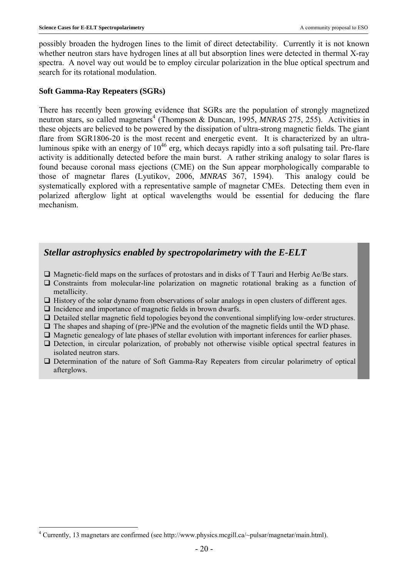possibly broaden the hydrogen lines to the limit of direct detectability. Currently it is not known whether neutron stars have hydrogen lines at all but absorption lines were detected in thermal X-ray spectra. A novel way out would be to employ circular polarization in the blue optical spectrum and search for its rotational modulation.

### **Soft Gamma-Ray Repeaters (SGRs)**

There has recently been growing evidence that SGRs are the population of strongly magnetized neutron stars, so called magnetars<sup>[4](#page-19-0)</sup> (Thompson & Duncan, 1995, *MNRAS* 275, 255). Activities in these objects are believed to be powered by the dissipation of ultra-strong magnetic fields. The giant flare from SGR1806-20 is the most recent and energetic event. It is characterized by an ultraluminous spike with an energy of  $10^{46}$  erg, which decays rapidly into a soft pulsating tail. Pre-flare activity is additionally detected before the main burst. A rather striking analogy to solar flares is found because coronal mass ejections (CME) on the Sun appear morphologically comparable to those of magnetar flares (Lyutikov, 2006, *MNRAS* 367, 1594). This analogy could be systematically explored with a representative sample of magnetar CMEs. Detecting them even in polarized afterglow light at optical wavelengths would be essential for deducing the flare mechanism.

# *Stellar astrophysics enabled by spectropolarimetry with the E-ELT*

- Magnetic-field maps on the surfaces of protostars and in disks of T Tauri and Herbig Ae/Be stars.
- $\Box$  Constraints from molecular-line polarization on magnetic rotational braking as a function of metallicity.
- $\Box$  History of the solar dynamo from observations of solar analogs in open clusters of different ages.
- $\Box$  Incidence and importance of magnetic fields in brown dwarfs.
- Detailed stellar magnetic field topologies beyond the conventional simplifying low-order structures.
- $\Box$  The shapes and shaping of (pre-)PNe and the evolution of the magnetic fields until the WD phase.
- $\Box$  Magnetic genealogy of late phases of stellar evolution with important inferences for earlier phases.
- Detection, in circular polarization, of probably not otherwise visible optical spectral features in isolated neutron stars.
- $\Box$  Determination of the nature of Soft Gamma-Ray Repeaters from circular polarimetry of optical afterglows.

 $\overline{a}$ 

<span id="page-19-0"></span><sup>&</sup>lt;sup>4</sup> Currently, 13 magnetars are confirmed (see http://www.physics.mcgill.ca/~pulsar/magnetar/main.html).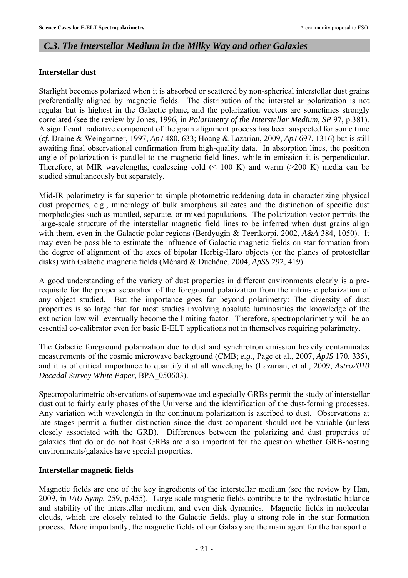#### *C.3***.** *The Interstellar Medium in the Milky Way and other Galaxies*

#### **Interstellar dust**

Starlight becomes polarized when it is absorbed or scattered by non-spherical interstellar dust grains preferentially aligned by magnetic fields. The distribution of the interstellar polarization is not regular but is highest in the Galactic plane, and the polarization vectors are sometimes strongly correlated (see the review by Jones, 1996, in *Polarimetry of the Interstellar Medium*, *SP* 97, p.381). A significant radiative component of the grain alignment process has been suspected for some time (*cf.* Draine & Weingartner, 1997, *ApJ* 480, 633; Hoang & Lazarian, 2009, *ApJ* 697, 1316) but is still awaiting final observational confirmation from high-quality data. In absorption lines, the position angle of polarization is parallel to the magnetic field lines, while in emission it is perpendicular. Therefore, at MIR wavelengths, coalescing cold  $(< 100 K)$  and warm  $(>200 K)$  media can be studied simultaneously but separately.

Mid-IR polarimetry is far superior to simple photometric reddening data in characterizing physical dust properties, e.g., mineralogy of bulk amorphous silicates and the distinction of specific dust morphologies such as mantled, separate, or mixed populations. The polarization vector permits the large-scale structure of the interstellar magnetic field lines to be inferred when dust grains align with them, even in the Galactic polar regions (Berdyugin & Teerikorpi, 2002, *A&A* 384, 1050). It may even be possible to estimate the influence of Galactic magnetic fields on star formation from the degree of alignment of the axes of bipolar Herbig-Haro objects (or the planes of protostellar disks) with Galactic magnetic fields (Ménard & Duchêne, 2004, *ApSS* 292, 419).

A good understanding of the variety of dust properties in different environments clearly is a prerequisite for the proper separation of the foreground polarization from the intrinsic polarization of any object studied. But the importance goes far beyond polarimetry: The diversity of dust properties is so large that for most studies involving absolute luminosities the knowledge of the extinction law will eventually become the limiting factor. Therefore, spectropolarimetry will be an essential co-calibrator even for basic E-ELT applications not in themselves requiring polarimetry.

The Galactic foreground polarization due to dust and synchrotron emission heavily contaminates measurements of the cosmic microwave background (CMB; *e.g.,* Page et al., 2007, *ApJS* 170, 335), and it is of critical importance to quantify it at all wavelengths (Lazarian, et al., 2009, *Astro2010 Decadal Survey White Paper*, BPA\_050603).

Spectropolarimetric observations of supernovae and especially GRBs permit the study of interstellar dust out to fairly early phases of the Universe and the identification of the dust-forming processes. Any variation with wavelength in the continuum polarization is ascribed to dust. Observations at late stages permit a further distinction since the dust component should not be variable (unless closely associated with the GRB). Differences between the polarizing and dust properties of galaxies that do or do not host GRBs are also important for the question whether GRB-hosting environments/galaxies have special properties.

#### **Interstellar magnetic fields**

Magnetic fields are one of the key ingredients of the interstellar medium (see the review by Han, 2009, in *IAU Symp.* 259, p.455). Large-scale magnetic fields contribute to the hydrostatic balance and stability of the interstellar medium, and even disk dynamics. Magnetic fields in molecular clouds, which are closely related to the Galactic fields, play a strong role in the star formation process. More importantly, the magnetic fields of our Galaxy are the main agent for the transport of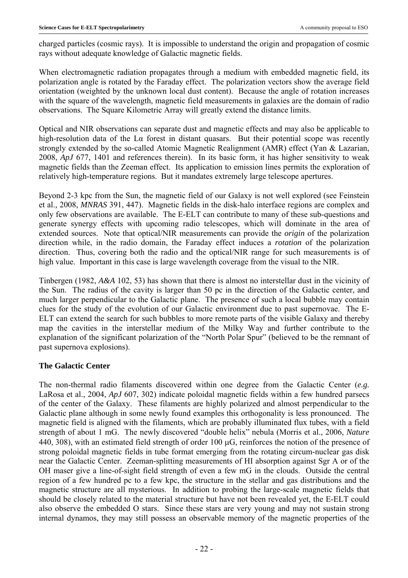charged particles (cosmic rays). It is impossible to understand the origin and propagation of cosmic rays without adequate knowledge of Galactic magnetic fields.

When electromagnetic radiation propagates through a medium with embedded magnetic field, its polarization angle is rotated by the Faraday effect. The polarization vectors show the average field orientation (weighted by the unknown local dust content). Because the angle of rotation increases with the square of the wavelength, magnetic field measurements in galaxies are the domain of radio observations. The Square Kilometric Array will greatly extend the distance limits.

Optical and NIR observations can separate dust and magnetic effects and may also be applicable to high-resolution data of the Lα forest in distant quasars. But their potential scope was recently strongly extended by the so-called Atomic Magnetic Realignment (AMR) effect (Yan & Lazarian, 2008, *ApJ* 677, 1401 and references therein). In its basic form, it has higher sensitivity to weak magnetic fields than the Zeeman effect. Its application to emission lines permits the exploration of relatively high-temperature regions. But it mandates extremely large telescope apertures.

Beyond 2-3 kpc from the Sun, the magnetic field of our Galaxy is not well explored (see Feinstein et al.*,* 2008, *MNRAS* 391, 447). Magnetic fields in the disk-halo interface regions are complex and only few observations are available. The E-ELT can contribute to many of these sub-questions and generate synergy effects with upcoming radio telescopes, which will dominate in the area of extended sources. Note that optical/NIR measurements can provide the *origin* of the polarization direction while, in the radio domain, the Faraday effect induces a *rotation* of the polarization direction. Thus, covering both the radio and the optical/NIR range for such measurements is of high value. Important in this case is large wavelength coverage from the visual to the NIR.

Tinbergen (1982, *A&A* 102, 53) has shown that there is almost no interstellar dust in the vicinity of the Sun. The radius of the cavity is larger than 50 pc in the direction of the Galactic center, and much larger perpendicular to the Galactic plane. The presence of such a local bubble may contain clues for the study of the evolution of our Galactic environment due to past supernovae. The E-ELT can extend the search for such bubbles to more remote parts of the visible Galaxy and thereby map the cavities in the interstellar medium of the Milky Way and further contribute to the explanation of the significant polarization of the "North Polar Spur" (believed to be the remnant of past supernova explosions).

# **The Galactic Center**

The non-thermal radio filaments discovered within one degree from the Galactic Center (*e.g.* LaRosa et al., 2004, *ApJ* 607, 302) indicate poloidal magnetic fields within a few hundred parsecs of the center of the Galaxy. These filaments are highly polarized and almost perpendicular to the Galactic plane although in some newly found examples this orthogonality is less pronounced. The magnetic field is aligned with the filaments, which are probably illuminated flux tubes, with a field strength of about 1 mG. The newly discovered "double helix" nebula (Morris et al., 2006, *Nature* 440, 308), with an estimated field strength of order 100 µG, reinforces the notion of the presence of strong poloidal magnetic fields in tube format emerging from the rotating circum-nuclear gas disk near the Galactic Center. Zeeman-splitting measurements of HI absorption against Sgr A or of the OH maser give a line-of-sight field strength of even a few mG in the clouds. Outside the central region of a few hundred pc to a few kpc, the structure in the stellar and gas distributions and the magnetic structure are all mysterious. In addition to probing the large-scale magnetic fields that should be closely related to the material structure but have not been revealed yet, the E-ELT could also observe the embedded O stars. Since these stars are very young and may not sustain strong internal dynamos, they may still possess an observable memory of the magnetic properties of the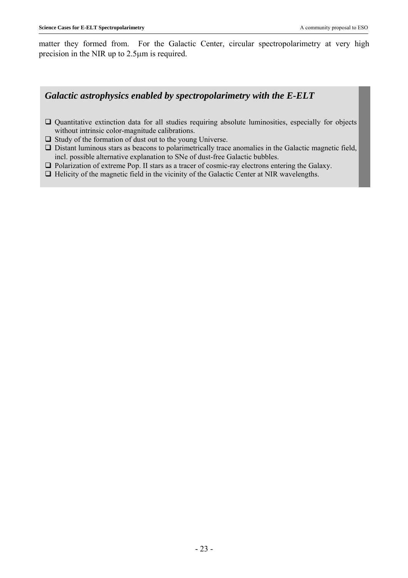matter they formed from. For the Galactic Center, circular spectropolarimetry at very high precision in the NIR up to 2.5µm is required.

# *Galactic astrophysics enabled by spectropolarimetry with the E-ELT*

- Quantitative extinction data for all studies requiring absolute luminosities, especially for objects without intrinsic color-magnitude calibrations.
- $\Box$  Study of the formation of dust out to the young Universe.
- $\Box$  Distant luminous stars as beacons to polarimetrically trace anomalies in the Galactic magnetic field, incl. possible alternative explanation to SNe of dust-free Galactic bubbles.
- $\Box$  Polarization of extreme Pop. II stars as a tracer of cosmic-ray electrons entering the Galaxy.
- $\Box$  Helicity of the magnetic field in the vicinity of the Galactic Center at NIR wavelengths.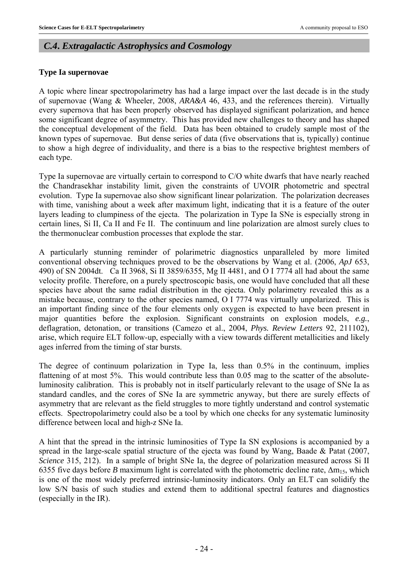### *C.4***.** *Extragalactic Astrophysics and Cosmology*

#### **Type Ia supernovae**

A topic where linear spectropolarimetry has had a large impact over the last decade is in the study of supernovae (Wang & Wheeler, 2008, *ARA&A* 46, 433, and the references therein). Virtually every supernova that has been properly observed has displayed significant polarization, and hence some significant degree of asymmetry. This has provided new challenges to theory and has shaped the conceptual development of the field. Data has been obtained to crudely sample most of the known types of supernovae. But dense series of data (five observations that is, typically) continue to show a high degree of individuality, and there is a bias to the respective brightest members of each type.

Type Ia supernovae are virtually certain to correspond to C/O white dwarfs that have nearly reached the Chandrasekhar instability limit, given the constraints of UVOIR photometric and spectral evolution. Type Ia supernovae also show significant linear polarization. The polarization decreases with time, vanishing about a week after maximum light, indicating that it is a feature of the outer layers leading to clumpiness of the ejecta. The polarization in Type Ia SNe is especially strong in certain lines, Si II, Ca II and Fe II. The continuum and line polarization are almost surely clues to the thermonuclear combustion processes that explode the star.

A particularly stunning reminder of polarimetric diagnostics unparalleled by more limited conventional observing techniques proved to be the observations by Wang et al. (2006, *ApJ* 653, 490) of SN 2004dt. Ca II 3968, Si II 3859/6355, Mg II 4481, and O I 7774 all had about the same velocity profile. Therefore, on a purely spectroscopic basis, one would have concluded that all these species have about the same radial distribution in the ejecta. Only polarimetry revealed this as a mistake because, contrary to the other species named, O I 7774 was virtually unpolarized. This is an important finding since of the four elements only oxygen is expected to have been present in major quantities before the explosion. Significant constraints on explosion models, *e.g.*, deflagration, detonation, or transitions (Camezo et al., 2004, *Phys. Review Letters* 92, 211102), arise, which require ELT follow-up, especially with a view towards different metallicities and likely ages inferred from the timing of star bursts.

The degree of continuum polarization in Type Ia, less than 0.5% in the continuum, implies flattening of at most 5%. This would contribute less than 0.05 mag to the scatter of the absoluteluminosity calibration. This is probably not in itself particularly relevant to the usage of SNe Ia as standard candles, and the cores of SNe Ia are symmetric anyway, but there are surely effects of asymmetry that are relevant as the field struggles to more tightly understand and control systematic effects. Spectropolarimetry could also be a tool by which one checks for any systematic luminosity difference between local and high-*z* SNe Ia.

A hint that the spread in the intrinsic luminosities of Type Ia SN explosions is accompanied by a spread in the large-scale spatial structure of the ejecta was found by Wang, Baade & Patat (2007, *Science* 315, 212). In a sample of bright SNe Ia, the degree of polarization measured across Si II 6355 five days before *B* maximum light is correlated with the photometric decline rate,  $\Delta m_{15}$ , which is one of the most widely preferred intrinsic-luminosity indicators. Only an ELT can solidify the low S/N basis of such studies and extend them to additional spectral features and diagnostics (especially in the IR).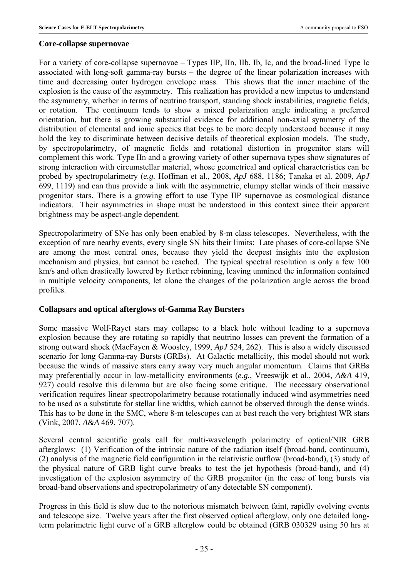#### **Core-collapse supernovae**

For a variety of core-collapse supernovae – Types IIP, IIn, IIb, Ib, Ic, and the broad-lined Type Ic associated with long-soft gamma-ray bursts – the degree of the linear polarization increases with time and decreasing outer hydrogen envelope mass. This shows that the inner machine of the explosion is the cause of the asymmetry. This realization has provided a new impetus to understand the asymmetry, whether in terms of neutrino transport, standing shock instabilities, magnetic fields, or rotation. The continuum tends to show a mixed polarization angle indicating a preferred orientation, but there is growing substantial evidence for additional non-axial symmetry of the distribution of elemental and ionic species that begs to be more deeply understood because it may hold the key to discriminate between decisive details of theoretical explosion models. The study, by spectropolarimetry, of magnetic fields and rotational distortion in progenitor stars will complement this work. Type IIn and a growing variety of other supernova types show signatures of strong interaction with circumstellar material, whose geometrical and optical characteristics can be probed by spectropolarimetry (*e.g.* Hoffman et al., 2008, *ApJ* 688, 1186; Tanaka et al. 2009, *ApJ* 699, 1119) and can thus provide a link with the asymmetric, clumpy stellar winds of their massive progenitor stars. There is a growing effort to use Type IIP supernovae as cosmological distance indicators. Their asymmetries in shape must be understood in this context since their apparent brightness may be aspect-angle dependent.

Spectropolarimetry of SNe has only been enabled by 8-m class telescopes. Nevertheless, with the exception of rare nearby events, every single SN hits their limits: Late phases of core-collapse SNe are among the most central ones, because they yield the deepest insights into the explosion mechanism and physics, but cannot be reached. The typical spectral resolution is only a few 100 km/s and often drastically lowered by further rebinning, leaving unmined the information contained in multiple velocity components, let alone the changes of the polarization angle across the broad profiles.

#### **Collapsars and optical afterglows of-Gamma Ray Bursters**

Some massive Wolf-Rayet stars may collapse to a black hole without leading to a supernova explosion because they are rotating so rapidly that neutrino losses can prevent the formation of a strong outward shock (MacFayen & Woosley, 1999, *ApJ* 524, 262). This is also a widely discussed scenario for long Gamma-ray Bursts (GRBs). At Galactic metallicity, this model should not work because the winds of massive stars carry away very much angular momentum. Claims that GRBs may preferentially occur in low-metallicity environments (*e.g.*, Vreeswijk et al., 2004, *A&A* 419, 927) could resolve this dilemma but are also facing some critique. The necessary observational verification requires linear spectropolarimetry because rotationally induced wind asymmetries need to be used as a substitute for stellar line widths, which cannot be observed through the dense winds. This has to be done in the SMC, where 8-m telescopes can at best reach the very brightest WR stars (Vink, 2007, *A&A* 469, 707).

Several central scientific goals call for multi-wavelength polarimetry of optical/NIR GRB afterglows: (1) Verification of the intrinsic nature of the radiation itself (broad-band, continuum), (2) analysis of the magnetic field configuration in the relativistic outflow (broad-band), (3) study of the physical nature of GRB light curve breaks to test the jet hypothesis (broad-band), and (4) investigation of the explosion asymmetry of the GRB progenitor (in the case of long bursts via broad-band observations and spectropolarimetry of any detectable SN component).

Progress in this field is slow due to the notorious mismatch between faint, rapidly evolving events and telescope size. Twelve years after the first observed optical afterglow, only one detailed longterm polarimetric light curve of a GRB afterglow could be obtained (GRB 030329 using 50 hrs at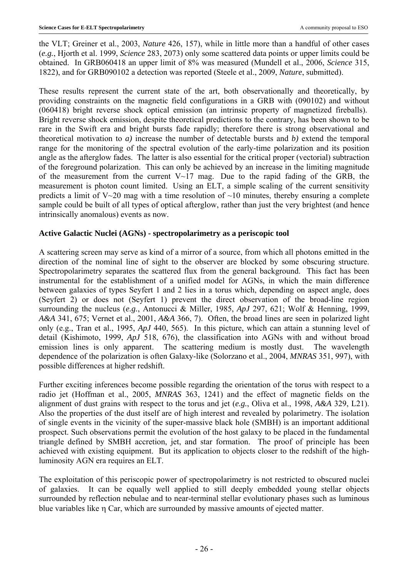the VLT; Greiner et al., 2003, *Nature* 426, 157), while in little more than a handful of other cases (*e.g.*, Hjorth et al. 1999, *Science* 283, 2073) only some scattered data points or upper limits could be obtained. In GRB060418 an upper limit of 8% was measured (Mundell et al., 2006, *Science* 315, 1822), and for GRB090102 a detection was reported (Steele et al., 2009, *Nature*, submitted).

These results represent the current state of the art, both observationally and theoretically, by providing constraints on the magnetic field configurations in a GRB with (090102) and without (060418) bright reverse shock optical emission (an intrinsic property of magnetized fireballs). Bright reverse shock emission, despite theoretical predictions to the contrary, has been shown to be rare in the Swift era and bright bursts fade rapidly; therefore there is strong observational and theoretical motivation to *a)* increase the number of detectable bursts and *b)* extend the temporal range for the monitoring of the spectral evolution of the early-time polarization and its position angle as the afterglow fades. The latter is also essential for the critical proper (vectorial) subtraction of the foreground polarization. This can only be achieved by an increase in the limiting magnitude of the measurement from the current  $V~17$  mag. Due to the rapid fading of the GRB, the measurement is photon count limited. Using an ELT, a simple scaling of the current sensitivity predicts a limit of  $V~20$  mag with a time resolution of  $~10$  minutes, thereby ensuring a complete sample could be built of all types of optical afterglow, rather than just the very brightest (and hence intrinsically anomalous) events as now.

# **Active Galactic Nuclei (AGNs) - spectropolarimetry as a periscopic tool**

A scattering screen may serve as kind of a mirror of a source, from which all photons emitted in the direction of the nominal line of sight to the observer are blocked by some obscuring structure. Spectropolarimetry separates the scattered flux from the general background. This fact has been instrumental for the establishment of a unified model for AGNs, in which the main difference between galaxies of types Seyfert 1 and 2 lies in a torus which, depending on aspect angle, does (Seyfert 2) or does not (Seyfert 1) prevent the direct observation of the broad-line region surrounding the nucleus (*e.g.*, Antonucci & Miller, 1985, *ApJ* 297, 621; Wolf & Henning, 1999, *A&A* 341, 675; Vernet et al., 2001, *A&A* 366, 7). Often, the broad lines are seen in polarized light only (e.g., Tran et al., 1995, *ApJ* 440, 565). In this picture, which can attain a stunning level of detail (Kishimoto, 1999, *ApJ* 518, 676), the classification into AGNs with and without broad emission lines is only apparent. The scattering medium is mostly dust. The wavelength dependence of the polarization is often Galaxy-like (Solorzano et al., 2004, *MNRAS* 351, 997), with possible differences at higher redshift.

Further exciting inferences become possible regarding the orientation of the torus with respect to a radio jet (Hoffman et al., 2005, *MNRAS* 363, 1241) and the effect of magnetic fields on the alignment of dust grains with respect to the torus and jet (*e.g.*, Oliva et al., 1998, *A&A* 329, L21). Also the properties of the dust itself are of high interest and revealed by polarimetry. The isolation of single events in the vicinity of the super-massive black hole (SMBH) is an important additional prospect. Such observations permit the evolution of the host galaxy to be placed in the fundamental triangle defined by SMBH accretion, jet, and star formation. The proof of principle has been achieved with existing equipment. But its application to objects closer to the redshift of the highluminosity AGN era requires an ELT.

The exploitation of this periscopic power of spectropolarimetry is not restricted to obscured nuclei of galaxies. It can be equally well applied to still deeply embedded young stellar objects surrounded by reflection nebulae and to near-terminal stellar evolutionary phases such as luminous blue variables like n Car, which are surrounded by massive amounts of ejected matter.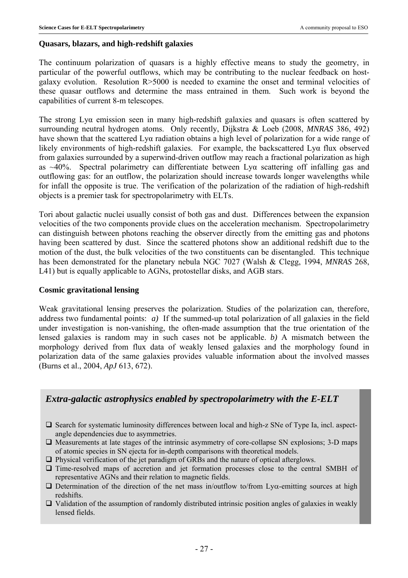#### **Quasars, blazars, and high-redshift galaxies**

The continuum polarization of quasars is a highly effective means to study the geometry, in particular of the powerful outflows, which may be contributing to the nuclear feedback on hostgalaxy evolution. Resolution R>5000 is needed to examine the onset and terminal velocities of these quasar outflows and determine the mass entrained in them. Such work is beyond the capabilities of current 8-m telescopes.

The strong Lyα emission seen in many high-redshift galaxies and quasars is often scattered by surrounding neutral hydrogen atoms. Only recently, Dijkstra & Loeb (2008, *MNRAS* 386, 492) have shown that the scattered Lyα radiation obtains a high level of polarization for a wide range of likely environments of high-redshift galaxies. For example, the backscattered Lyα flux observed from galaxies surrounded by a superwind-driven outflow may reach a fractional polarization as high as ~40%. Spectral polarimetry can differentiate between Lyα scattering off infalling gas and outflowing gas: for an outflow, the polarization should increase towards longer wavelengths while for infall the opposite is true. The verification of the polarization of the radiation of high-redshift objects is a premier task for spectropolarimetry with ELTs.

Tori about galactic nuclei usually consist of both gas and dust. Differences between the expansion velocities of the two components provide clues on the acceleration mechanism. Spectropolarimetry can distinguish between photons reaching the observer directly from the emitting gas and photons having been scattered by dust. Since the scattered photons show an additional redshift due to the motion of the dust, the bulk velocities of the two constituents can be disentangled. This technique has been demonstrated for the planetary nebula NGC 7027 (Walsh & Clegg, 1994, *MNRAS* 268, L41) but is equally applicable to AGNs, protostellar disks, and AGB stars.

#### **Cosmic gravitational lensing**

Weak gravitational lensing preserves the polarization. Studies of the polarization can, therefore, address two fundamental points: *a)* If the summed-up total polarization of all galaxies in the field under investigation is non-vanishing, the often-made assumption that the true orientation of the lensed galaxies is random may in such cases not be applicable. *b)* A mismatch between the morphology derived from flux data of weakly lensed galaxies and the morphology found in polarization data of the same galaxies provides valuable information about the involved masses (Burns et al., 2004, *ApJ* 613, 672).

# *Extra-galactic astrophysics enabled by spectropolarimetry with the E-ELT*

- $\Box$  Search for systematic luminosity differences between local and high-z SNe of Type Ia, incl. aspectangle dependencies due to asymmetries.
- $\Box$  Measurements at late stages of the intrinsic asymmetry of core-collapse SN explosions; 3-D maps of atomic species in SN ejecta for in-depth comparisons with theoretical models.
- $\Box$  Physical verification of the jet paradigm of GRBs and the nature of optical afterglows.
- Time-resolved maps of accretion and jet formation processes close to the central SMBH of representative AGNs and their relation to magnetic fields.
- $\Box$  Determination of the direction of the net mass in/outflow to/from Ly $\alpha$ -emitting sources at high redshifts.
- $\Box$  Validation of the assumption of randomly distributed intrinsic position angles of galaxies in weakly lensed fields.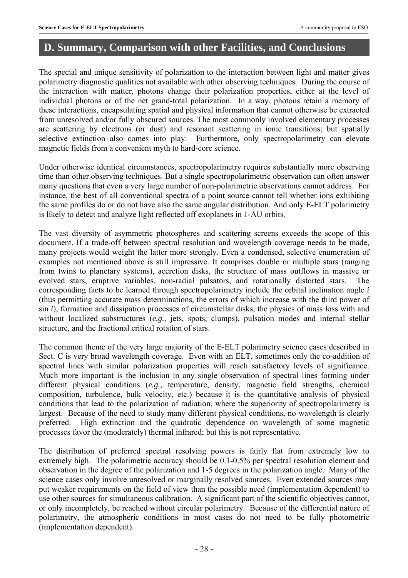# **D. Summary, Comparison with other Facilities, and Conclusions**

The special and unique sensitivity of polarization to the interaction between light and matter gives polarimetry diagnostic qualities not available with other observing techniques. During the course of the interaction with matter, photons change their polarization properties, either at the level of individual photons or of the net grand-total polarization. In a way, photons retain a memory of these interactions, encapsulating spatial and physical information that cannot otherwise be extracted from unresolved and/or fully obscured sources. The most commonly involved elementary processes are scattering by electrons (or dust) and resonant scattering in ionic transitions; but spatially selective extinction also comes into play. Furthermore, only spectropolarimetry can elevate magnetic fields from a convenient myth to hard-core science.

Under otherwise identical circumstances, spectropolarimetry requires substantially more observing time than other observing techniques. But a single spectropolarimetric observation can often answer many questions that even a very large number of non-polarimetric observations cannot address. For instance, the best of all conventional spectra of a point source cannot tell whether ions exhibiting the same profiles do or do not have also the same angular distribution. And only E-ELT polarimetry is likely to detect and analyze light reflected off exoplanets in 1-AU orbits.

The vast diversity of asymmetric photospheres and scattering screens exceeds the scope of this document. If a trade-off between spectral resolution and wavelength coverage needs to be made, many projects would weight the latter more strongly. Even a condensed, selective enumeration of examples not mentioned above is still impressive. It comprises double or multiple stars (ranging from twins to planetary systems), accretion disks, the structure of mass outflows in massive or evolved stars, eruptive variables, non-radial pulsators, and rotationally distorted stars. The corresponding facts to be learned through spectropolarimetry include the orbital inclination angle *i* (thus permitting accurate mass determinations, the errors of which increase with the third power of sin *i*), formation and dissipation processes of circumstellar disks, the physics of mass loss with and without localized substructures (*e.g.*, jets, spots, clumps), pulsation modes and internal stellar structure, and the fractional critical rotation of stars.

The common theme of the very large majority of the E-ELT polarimetry science cases described in Sect. C is very broad wavelength coverage. Even with an ELT, sometimes only the co-addition of spectral lines with similar polarization properties will reach satisfactory levels of significance. Much more important is the inclusion in any single observation of spectral lines forming under different physical conditions (*e.g.*, temperature, density, magnetic field strengths, chemical composition, turbulence, bulk velocity, etc.) because it is the quantitative analysis of physical conditions that lead to the polarization of radiation, where the superiority of spectropolarimetry is largest. Because of the need to study many different physical conditions, no wavelength is clearly preferred. High extinction and the quadratic dependence on wavelength of some magnetic processes favor the (moderately) thermal infrared; but this is not representative.

The distribution of preferred spectral resolving powers is fairly flat from extremely low to extremely high. The polarimetric accuracy should be 0.1-0.5% per spectral resolution element and observation in the degree of the polarization and 1-5 degrees in the polarization angle. Many of the science cases only involve unresolved or marginally resolved sources. Even extended sources may put weaker requirements on the field of view than the possible need (implementation dependent) to use other sources for simultaneous calibration. A significant part of the scientific objectives cannot, or only incompletely, be reached without circular polarimetry. Because of the differential nature of polarimetry, the atmospheric conditions in most cases do not need to be fully photometric (implementation dependent).